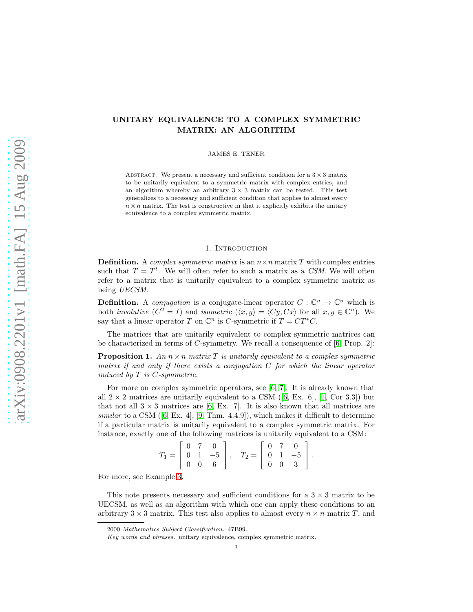# UNITARY EQUIVALENCE TO A COMPLEX SYMMETRIC MATRIX: AN ALGORITHM

JAMES E. TENER

ABSTRACT. We present a necessary and sufficient condition for a  $3 \times 3$  matrix to be unitarily equivalent to a symmetric matrix with complex entries, and an algorithm whereby an arbitrary  $3 \times 3$  matrix can be tested. This test generalizes to a necessary and sufficient condition that applies to almost every  $n \times n$  matrix. The test is constructive in that it explicitly exhibits the unitary equivalence to a complex symmetric matrix.

#### 1. INTRODUCTION

**Definition.** A *complex symmetric matrix* is an  $n \times n$  matrix T with complex entries such that  $T = T<sup>t</sup>$ . We will often refer to such a matrix as a *CSM*. We will often refer to a matrix that is unitarily equivalent to a complex symmetric matrix as being *UECSM*.

**Definition.** A *conjugation* is a conjugate-linear operator  $C : \mathbb{C}^n \to \mathbb{C}^n$  which is both *involutive*  $(C^2 = I)$  and *isometric*  $(\langle x, y \rangle = \langle Cy, Cx \rangle)$  for all  $x, y \in \mathbb{C}^n$ ). We say that a linear operator T on  $\mathbb{C}^n$  is C-symmetric if  $T = CT^*C$ .

The matrices that are unitarily equivalent to complex symmetric matrices can be characterized in terms of  $C$ -symmetry. We recall a consequence of  $[6, Prop. 2]$ :

<span id="page-0-0"></span>**Proposition 1.** An  $n \times n$  *matrix* T *is unitarily equivalent to a complex symmetric matrix if and only if there exists a conjugation* C *for which the linear operator induced by* T *is* C*-symmetric.*

For more on complex symmetric operators, see [\[6,](#page-9-0) [7\]](#page-9-1). It is already known that all  $2 \times 2$  matrices are unitarily equivalent to a CSM ([\[6,](#page-9-0) Ex. 6], [\[1,](#page-9-2) Cor 3.3]) but that not all  $3 \times 3$  matrices are [\[6,](#page-9-0) Ex. 7]. It is also known that all matrices are *similar* to a CSM  $(6, Ex. 4, 9, Thm. 4.4.9)$ , which makes it difficult to determine if a particular matrix is unitarily equivalent to a complex symmetric matrix. For instance, exactly one of the following matrices is unitarily equivalent to a CSM:

|  |  |  |  | $T_1 = \left[ \begin{array}{ccc} 0 & 7 & 0 \ 0 & 1 & -5 \ 0 & 0 & 6 \end{array} \right], \quad T_2 = \left[ \begin{array}{ccc} 0 & 7 & 0 \ 0 & 1 & -5 \ 0 & 0 & 3 \end{array} \right].$ |
|--|--|--|--|-----------------------------------------------------------------------------------------------------------------------------------------------------------------------------------------|

For more, see Example [3.](#page-7-0)

This note presents necessary and sufficient conditions for a  $3 \times 3$  matrix to be UECSM, as well as an algorithm with which one can apply these conditions to an arbitrary  $3 \times 3$  matrix. This test also applies to almost every  $n \times n$  matrix T, and

1

<sup>2000</sup> Mathematics Subject Classification. 47B99.

Key words and phrases. unitary equivalence, complex symmetric matrix.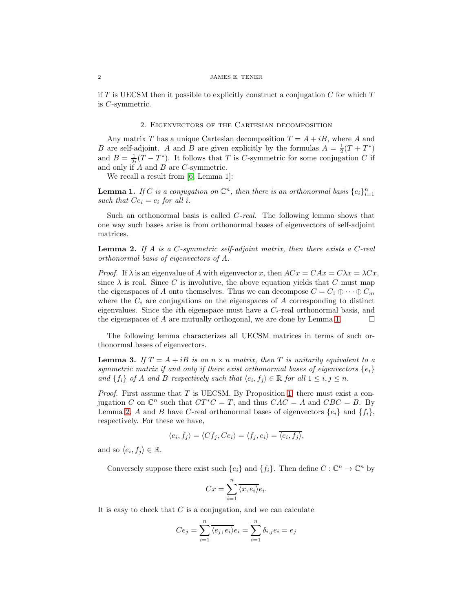if T is UECSM then it possible to explicitly construct a conjugation  $C$  for which  $T$ is C-symmetric.

## 2. Eigenvectors of the Cartesian decomposition

Any matrix T has a unique Cartesian decomposition  $T = A + iB$ , where A and B are self-adjoint. A and B are given explicitly by the formulas  $A = \frac{1}{2}(T + T^*)$ and  $B = \frac{1}{2i}(T - T^*)$ . It follows that T is C-symmetric for some conjugation C if and only if  $A$  and  $B$  are  $C$ -symmetric.

We recall a result from [\[6,](#page-9-0) Lemma 1]:

<span id="page-1-0"></span>**Lemma 1.** If C is a conjugation on  $\mathbb{C}^n$ , then there is an orthonormal basis  $\{e_i\}_{i=1}^n$ *such that*  $Ce_i = e_i$  *for all i.* 

Such an orthonormal basis is called C*-real*. The following lemma shows that one way such bases arise is from orthonormal bases of eigenvectors of self-adjoint matrices.

<span id="page-1-1"></span>Lemma 2. *If* A *is a* C*-symmetric self-adjoint matrix, then there exists a* C*-real orthonormal basis of eigenvectors of* A*.*

*Proof.* If  $\lambda$  is an eigenvalue of A with eigenvector x, then  $ACx = CAx = C\lambda x = \lambda Cx$ , since  $\lambda$  is real. Since C is involutive, the above equation yields that C must map the eigenspaces of A onto themselves. Thus we can decompose  $C = C_1 \oplus \cdots \oplus C_m$ where the  $C_i$  are conjugations on the eigenspaces of  $A$  corresponding to distinct eigenvalues. Since the *i*th eigenspace must have a  $C_i$ -real orthonormal basis, and the eigenspaces of A are mutually orthogonal, we are done by Lemma [1.](#page-1-0)  $\Box$ 

The following lemma characterizes all UECSM matrices in terms of such orthonormal bases of eigenvectors.

<span id="page-1-2"></span>**Lemma 3.** If  $T = A + iB$  is an  $n \times n$  *matrix, then* T is unitarily equivalent to a *symmetric matrix if and only if there exist orthonormal bases of eigenvectors*  $\{e_i\}$ *and*  $\{f_i\}$  *of* A *and* B *respectively such that*  $\langle e_i, f_j \rangle \in \mathbb{R}$  *for all*  $1 \leq i, j \leq n$ *.* 

*Proof.* First assume that T is UECSM. By Proposition [1,](#page-0-0) there must exist a conjugation C on  $\mathbb{C}^n$  such that  $CT^*C = T$ , and thus  $CAC = A$  and  $CBC = B$ . By Lemma [2,](#page-1-1) A and B have C-real orthonormal bases of eigenvectors  $\{e_i\}$  and  $\{f_i\}$ , respectively. For these we have,

$$
\langle e_i, f_j \rangle = \langle C f_j, C e_i \rangle = \langle f_j, e_i \rangle = \langle e_i, f_j \rangle,
$$

and so  $\langle e_i, f_j \rangle \in \mathbb{R}$ .

Conversely suppose there exist such  $\{e_i\}$  and  $\{f_i\}$ . Then define  $C: \mathbb{C}^n \to \mathbb{C}^n$  by

$$
Cx = \sum_{i=1}^{n} \overline{\langle x, e_i \rangle} e_i.
$$

It is easy to check that  $C$  is a conjugation, and we can calculate

$$
Ce_j = \sum_{i=1}^n \overline{\langle e_j, e_i \rangle} e_i = \sum_{i=1}^n \delta_{i,j} e_i = e_j
$$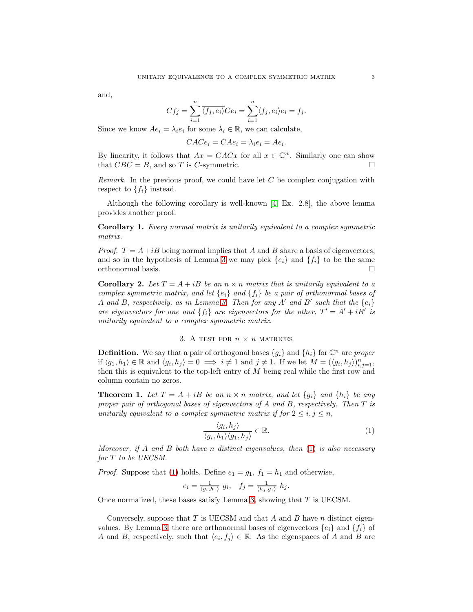and,

$$
Cf_j = \sum_{i=1}^n \overline{\langle f_j, e_i \rangle} C e_i = \sum_{i=1}^n \langle f_j, e_i \rangle e_i = f_j.
$$

Since we know  $Ae_i = \lambda_i e_i$  for some  $\lambda_i \in \mathbb{R}$ , we can calculate,

$$
CACe_i = CAe_i = \lambda_i e_i = Ae_i.
$$

By linearity, it follows that  $Ax = CACx$  for all  $x \in \mathbb{C}^n$ . Similarly one can show that  $CBC = B$ , and so T is C-symmetric.

*Remark.* In the previous proof, we could have let C be complex conjugation with respect to  $\{f_i\}$  instead.

Although the following corollary is well-known [\[4,](#page-9-4) Ex. 2.8], the above lemma provides another proof.

<span id="page-2-2"></span>Corollary 1. *Every normal matrix is unitarily equivalent to a complex symmetric matrix.*

*Proof.*  $T = A + iB$  being normal implies that A and B share a basis of eigenvectors, and so in the hypothesis of Lemma [3](#page-1-2) we may pick  $\{e_i\}$  and  $\{f_i\}$  to be the same orthonormal basis orthonormal basis.

**Corollary 2.** Let  $T = A + iB$  be an  $n \times n$  matrix that is unitarily equivalent to a *complex symmetric matrix, and let*  ${e_i}$  *and*  ${f_i}$  *be a pair of orthonormal bases of* A and B, respectively, as in Lemma [3.](#page-1-2) Then for any A' and B' such that the  $\{e_i\}$ *are eigenvectors for one and*  $\{f_i\}$  *are eigenvectors for the other,*  $T' = A' + iB'$  *is unitarily equivalent to a complex symmetric matrix.*

## 3. A TEST FOR  $n \times n$  matrices

**Definition.** We say that a pair of orthogonal bases  $\{g_i\}$  and  $\{h_i\}$  for  $\mathbb{C}^n$  are *proper* if  $\langle g_1, h_1 \rangle \in \mathbb{R}$  and  $\langle g_i, h_j \rangle = 0 \implies i \neq 1$  and  $j \neq 1$ . If we let  $M = (\langle g_i, h_j \rangle)_{i,j=1}^n$ , then this is equivalent to the top-left entry of  $M$  being real while the first row and column contain no zeros.

<span id="page-2-1"></span>**Theorem 1.** Let  $T = A + iB$  be an  $n \times n$  *matrix, and let*  $\{g_i\}$  *and*  $\{h_i\}$  be any *proper pair of orthogonal bases of eigenvectors of* A *and* B*, respectively. Then* T *is unitarily equivalent to a complex symmetric matrix if for*  $2 \le i, j \le n$ ,

<span id="page-2-0"></span>
$$
\frac{\langle g_i, h_j \rangle}{\langle g_i, h_1 \rangle \langle g_1, h_j \rangle} \in \mathbb{R}.
$$
 (1)

*Moreover, if* A *and* B *both have* n *distinct eigenvalues, then* [\(1\)](#page-2-0) *is also necessary for* T *to be UECSM.*

*Proof.* Suppose that [\(1\)](#page-2-0) holds. Define  $e_1 = g_1$ ,  $f_1 = h_1$  and otherwise,

$$
e_i = \frac{1}{\langle g_i, h_1 \rangle} g_i, \quad f_j = \frac{1}{\langle h_j, g_1 \rangle} h_j.
$$

Once normalized, these bases satisfy Lemma [3,](#page-1-2) showing that T is UECSM.

Conversely, suppose that  $T$  is UECSM and that  $A$  and  $B$  have  $n$  distinct eigen-values. By Lemma [3,](#page-1-2) there are orthonormal bases of eigenvectors  $\{e_i\}$  and  $\{f_i\}$  of A and B, respectively, such that  $\langle e_i, f_j \rangle \in \mathbb{R}$ . As the eigenspaces of A and B are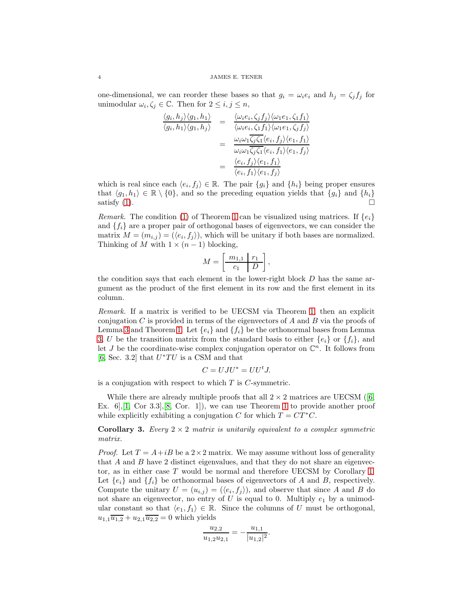one-dimensional, we can reorder these bases so that  $g_i = \omega_i e_i$  and  $h_j = \zeta_j f_j$  for unimodular  $\omega_i, \zeta_j \in \mathbb{C}$ . Then for  $2 \leq i, j \leq n$ ,

$$
\frac{\langle g_i, h_j \rangle \langle g_1, h_1 \rangle}{\langle g_i, h_1 \rangle \langle g_1, h_j \rangle} = \frac{\langle \omega_i e_i, \zeta_j f_j \rangle \langle \omega_1 e_1, \zeta_1 f_1 \rangle}{\langle \omega_i e_i, \zeta_1 f_1 \rangle \langle \omega_1 e_1, \zeta_j f_j \rangle}
$$

$$
= \frac{\omega_i \omega_1 \overline{\zeta_j \zeta_1} \langle e_i, f_j \rangle \langle e_1, f_1 \rangle}{\omega_i \omega_1 \overline{\zeta_j \zeta_1} \langle e_i, f_1 \rangle \langle e_1, f_j \rangle}
$$

$$
= \frac{\langle e_i, f_j \rangle \langle e_1, f_1 \rangle}{\langle e_i, f_1 \rangle \langle e_1, f_j \rangle}
$$

which is real since each  $\langle e_i, f_j \rangle \in \mathbb{R}$ . The pair  $\{g_i\}$  and  $\{h_i\}$  being proper ensures that  $\langle g_1, h_1 \rangle \in \mathbb{R} \setminus \{0\}$ , and so the preceding equation yields that  $\{g_i\}$  and  $\{h_i\}$  satisfy (1). satisfy [\(1\)](#page-2-0).

*Remark.* The condition [\(1\)](#page-2-0) of Theorem [1](#page-2-1) can be visualized using matrices. If  $\{e_i\}$ and  $\{f_i\}$  are a proper pair of orthogonal bases of eigenvectors, we can consider the matrix  $M = (m_{i,j}) = (\langle e_i, f_j \rangle)$ , which will be unitary if both bases are normalized. Thinking of M with  $1 \times (n-1)$  blocking,

$$
M = \left[\begin{array}{c|c} m_{1,1} & r_1 \\ \hline c_1 & D \end{array}\right],
$$

the condition says that each element in the lower-right block  $D$  has the same argument as the product of the first element in its row and the first element in its column.

*Remark.* If a matrix is verified to be UECSM via Theorem [1,](#page-2-1) then an explicit conjugation  $C$  is provided in terms of the eigenvectors of  $A$  and  $B$  via the proofs of Lemma [3](#page-1-2) and Theorem [1.](#page-2-1) Let  ${e_i}$  and  ${f_i}$  be the orthonormal bases from Lemma [3,](#page-1-2) U be the transition matrix from the standard basis to either  $\{e_i\}$  or  $\{f_i\}$ , and let J be the coordinate-wise complex conjugation operator on  $\mathbb{C}^n$ . It follows from [\[6,](#page-9-0) Sec. 3.2] that  $U^*TU$  is a CSM and that

$$
C=UJU^{\ast}=UU^{\mathit{t}}J.
$$

is a conjugation with respect to which  $T$  is  $C$ -symmetric.

While there are already multiple proofs that all  $2 \times 2$  matrices are UECSM (6, Ex.  $6$ ,  $[1, \text{Cor } 3.3]$  $[1, \text{Cor } 3.3]$ ,  $[8, \text{Cor } 1]$  $[8, \text{Cor } 1]$  $[8, \text{Cor } 1]$  $[8, \text{Cor } 1]$ , we can use Theorem 1 to provide another proof while explicitly exhibiting a conjugation C for which  $T = CT^*C$ .

**Corollary 3.** *Every*  $2 \times 2$  *matrix is unitarily equivalent to a complex symmetric matrix.*

*Proof.* Let  $T = A + iB$  be a  $2 \times 2$  matrix. We may assume without loss of generality that A and B have 2 distinct eigenvalues, and that they do not share an eigenvector, as in either case T would be normal and therefore UECSM by Corollary [1.](#page-2-2) Let  ${e_i}$  and  ${f_i}$  be orthonormal bases of eigenvectors of A and B, respectively. Compute the unitary  $U = (u_{i,j}) = (\langle e_i, f_j \rangle)$ , and observe that since A and B do not share an eigenvector, no entry of U is equal to 0. Multiply  $e_1$  by a unimodular constant so that  $\langle e_1, f_1 \rangle \in \mathbb{R}$ . Since the columns of U must be orthogonal,  $u_{1,1}\overline{u_{1,2}} + u_{2,1}\overline{u_{2,2}} = 0$  which yields

$$
\frac{u_{2,2}}{u_{1,2}u_{2,1}} = -\frac{u_{1,1}}{|u_{1,2}|^2}.
$$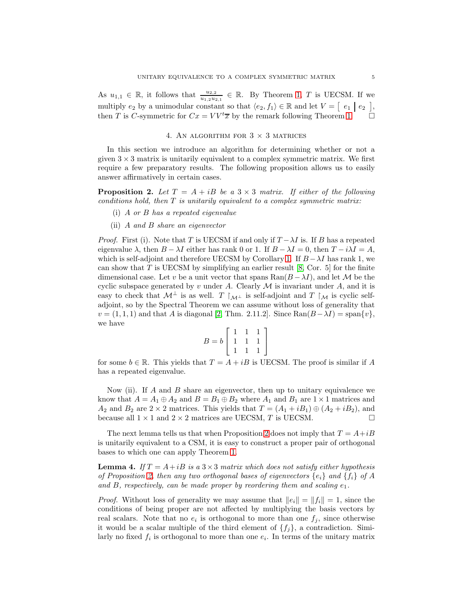As  $u_{1,1} \in \mathbb{R}$ , it follows that  $\frac{u_{2,2}}{u_{1,2}u_{2,1}} \in \mathbb{R}$ . By Theorem [1,](#page-2-1) T is UECSM. If we multiply  $e_2$  by a unimodular constant so that  $\langle e_2, f_1 \rangle \in \mathbb{R}$  and let  $V = \begin{bmatrix} e_1 & e_2 \end{bmatrix}$ , then T is C-symmetric for  $Cx = VV^t\overline{x}$  by the remark following Theorem [1.](#page-2-1)

### 4. AN ALGORITHM FOR  $3 \times 3$  MATRICES

In this section we introduce an algorithm for determining whether or not a given  $3 \times 3$  matrix is unitarily equivalent to a complex symmetric matrix. We first require a few preparatory results. The following proposition allows us to easily answer affirmatively in certain cases.

<span id="page-4-0"></span>**Proposition 2.** Let  $T = A + iB$  be a  $3 \times 3$  matrix. If either of the following *conditions hold, then* T *is unitarily equivalent to a complex symmetric matrix:*

- (i) A *or* B *has a repeated eigenvalue*
- (ii) A *and* B *share an eigenvector*

*Proof.* First (i). Note that T is UECSM if and only if  $T - \lambda I$  is. If B has a repeated eigenvalue  $\lambda$ , then  $B - \lambda I$  either has rank 0 or 1. If  $B - \lambda I = 0$ , then  $T - i\lambda I = A$ , which is self-adjoint and therefore UECSM by Corollary [1.](#page-2-2) If  $B - \lambda I$  has rank 1, we can show that  $T$  is UECSM by simplifying an earlier result  $[8, Cor. 5]$  for the finite dimensional case. Let v be a unit vector that spans  $\text{Ran}(B - \lambda I)$ , and let M be the cyclic subspace generated by v under A. Clearly  $\mathcal M$  is invariant under A, and it is easy to check that  $\mathcal{M}^{\perp}$  is as well.  $T \upharpoonright_{\mathcal{M}^{\perp}}$  is self-adjoint and  $T \upharpoonright_{\mathcal{M}}$  is cyclic selfadjoint, so by the Spectral Theorem we can assume without loss of generality that  $v = (1, 1, 1)$  and that A is diagonal [\[2,](#page-9-6) Thm. 2.11.2]. Since  $\text{Ran}(B-\lambda I) = \text{span}\{v\}$ , we have

$$
B = b \left[ \begin{array}{rrr} 1 & 1 & 1 \\ 1 & 1 & 1 \\ 1 & 1 & 1 \end{array} \right]
$$

for some  $b \in \mathbb{R}$ . This yields that  $T = A + iB$  is UECSM. The proof is similar if A has a repeated eigenvalue.

Now (ii). If  $A$  and  $B$  share an eigenvector, then up to unitary equivalence we know that  $A = A_1 \oplus A_2$  and  $B = B_1 \oplus B_2$  where  $A_1$  and  $B_1$  are  $1 \times 1$  matrices and  $A_2$  and  $B_2$  are  $2 \times 2$  matrices. This yields that  $T = (A_1 + iB_1) \oplus (A_2 + iB_2)$ , and because all  $1 \times 1$  and  $2 \times 2$  matrices are UECSM. T is UECSM. because all  $1 \times 1$  and  $2 \times 2$  matrices are UECSM, T is UECSM.

The next lemma tells us that when Proposition [2](#page-4-0) does not imply that  $T = A + iB$ is unitarily equivalent to a CSM, it is easy to construct a proper pair of orthogonal bases to which one can apply Theorem [1.](#page-2-1)

<span id="page-4-1"></span>**Lemma 4.** If  $T = A + iB$  is a  $3 \times 3$  matrix which does not satisfy either hypothesis *of Proposition* [2,](#page-4-0) then any two orthogonal bases of eigenvectors  $\{e_i\}$  and  $\{f_i\}$  of A and B, respectively, can be made proper by reordering them and scaling  $e_1$ .

*Proof.* Without loss of generality we may assume that  $||e_i|| = ||f_i|| = 1$ , since the conditions of being proper are not affected by multiplying the basis vectors by real scalars. Note that no  $e_i$  is orthogonal to more than one  $f_j$ , since otherwise it would be a scalar multiple of the third element of  $\{f_i\}$ , a contradiction. Similarly no fixed  $f_i$  is orthogonal to more than one  $e_i$ . In terms of the unitary matrix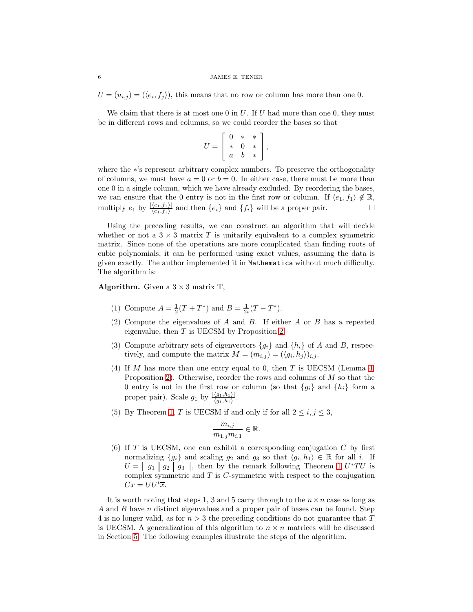$U = (u_{i,j}) = (\langle e_i, f_j \rangle)$ , this means that no row or column has more than one 0.

We claim that there is at most one 0 in  $U$ . If  $U$  had more than one 0, they must be in different rows and columns, so we could reorder the bases so that

$$
U = \left[ \begin{array}{ccc} 0 & * & * \\ * & 0 & * \\ a & b & * \end{array} \right],
$$

where the ∗'s represent arbitrary complex numbers. To preserve the orthogonality of columns, we must have  $a = 0$  or  $b = 0$ . In either case, there must be more than one 0 in a single column, which we have already excluded. By reordering the bases, we can ensure that the 0 entry is not in the first row or column. If  $\langle e_1, f_1 \rangle \notin \mathbb{R}$ ,<br>multiply  $e_1$  by  $\frac{|\langle e_1, f_1 \rangle|}{\langle e_1, f_1 \rangle}$  and then  $\{e_i\}$  and  $\{f_i\}$  will be a proper pair. multiply  $e_1$  by  $\frac{|(e_1,f_1)|}{\langle e_1,f_1\rangle}$  and then  $\{e_i\}$  and  $\{f_i\}$  will be a proper pair.

Using the preceding results, we can construct an algorithm that will decide whether or not a  $3 \times 3$  matrix T is unitarily equivalent to a complex symmetric matrix. Since none of the operations are more complicated than finding roots of cubic polynomials, it can be performed using exact values, assuming the data is given exactly. The author implemented it in Mathematica without much difficulty. The algorithm is:

**Algorithm.** Given a  $3 \times 3$  matrix T,

- (1) Compute  $A = \frac{1}{2}(T + T^*)$  and  $B = \frac{1}{2i}(T T^*)$ .
- (2) Compute the eigenvalues of A and B. If either A or B has a repeated eigenvalue, then  $T$  is UECSM by Proposition [2.](#page-4-0)
- (3) Compute arbitrary sets of eigenvectors  ${g_i}$  and  ${h_i}$  of A and B, respectively, and compute the matrix  $M = (m_{i,j}) = (\langle g_i, h_j \rangle)_{i,j}$ .
- (4) If  $M$  has more than one entry equal to 0, then  $T$  is UECSM (Lemma [4,](#page-4-1) Proposition [2\)](#page-4-0). Otherwise, reorder the rows and columns of  $M$  so that the 0 entry is not in the first row or column (so that  ${g_i}$  and  ${h_i}$  form a proper pair). Scale  $g_1$  by  $\frac{|\langle g_1, h_1 \rangle|}{\langle g_1, h_1 \rangle}$ .
- (5) By Theorem [1,](#page-2-1) T is UECSM if and only if for all  $2 \le i, j \le 3$ ,

$$
\frac{m_{i,j}}{m_{1,j}m_{i,1}} \in \mathbb{R}.
$$

(6) If T is UECSM, one can exhibit a corresponding conjugation  $C$  by first normalizing  $\{g_i\}$  and scaling  $g_2$  and  $g_3$  so that  $\langle g_i, h_1 \rangle \in \mathbb{R}$  for all i. If  $U = \begin{bmatrix} g_1 & g_2 & g_3 \end{bmatrix}$ , then by the remark following Theorem [1](#page-2-1)  $U^*TU$  is complex symmetric and  $T$  is  $C$ -symmetric with respect to the conjugation  $Cx = UU^t\overline{x}.$ 

It is worth noting that steps 1, 3 and 5 carry through to the  $n \times n$  case as long as A and B have n distinct eigenvalues and a proper pair of bases can be found. Step 4 is no longer valid, as for  $n > 3$  the preceding conditions do not guarantee that T is UECSM. A generalization of this algorithm to  $n \times n$  matrices will be discussed in Section [5.](#page-8-0) The following examples illustrate the steps of the algorithm.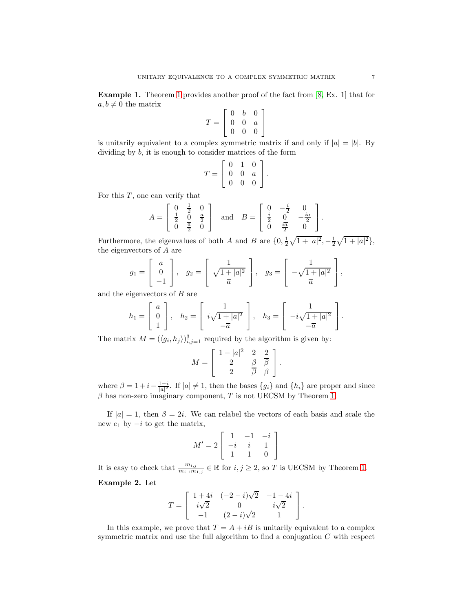Example 1. Theorem [1](#page-2-1) provides another proof of the fact from [\[8,](#page-9-5) Ex. 1] that for  $a, b \neq 0$  the matrix

$$
T = \left[ \begin{array}{rrr} 0 & b & 0 \\ 0 & 0 & a \\ 0 & 0 & 0 \end{array} \right]
$$

is unitarily equivalent to a complex symmetric matrix if and only if  $|a| = |b|$ . By dividing by b, it is enough to consider matrices of the form

$$
T = \left[ \begin{array}{rrr} 0 & 1 & 0 \\ 0 & 0 & a \\ 0 & 0 & 0 \end{array} \right].
$$

For this  $T$ , one can verify that

$$
A = \begin{bmatrix} 0 & \frac{1}{2} & 0 \\ \frac{1}{2} & 0 & \frac{a}{2} \\ 0 & \frac{\overline{a}}{2} & 0 \end{bmatrix} \text{ and } B = \begin{bmatrix} 0 & -\frac{i}{2} & 0 \\ \frac{i}{2} & 0 & -\frac{ia}{2} \\ 0 & \frac{i\overline{a}}{2} & 0 \end{bmatrix}.
$$

Furthermore, the eigenvalues of both A and B are  $\{0, \frac{1}{2}\sqrt{1+|a|^2}, -\frac{1}{2}\sqrt{1+|a|^2}\}\,$ the eigenvectors of A are

$$
g_1 = \begin{bmatrix} a \\ 0 \\ -1 \end{bmatrix}, \quad g_2 = \begin{bmatrix} \frac{1}{\sqrt{1+|a|^2}} \\ \frac{1}{\overline{a}} \end{bmatrix}, \quad g_3 = \begin{bmatrix} \frac{1}{\sqrt{1+|a|^2}} \\ \frac{1}{\overline{a}} \end{bmatrix},
$$

and the eigenvectors of B are

$$
h_1 = \begin{bmatrix} a \\ 0 \\ 1 \end{bmatrix}, \quad h_2 = \begin{bmatrix} \frac{1}{i\sqrt{1+|a|^2}} \\ -\overline{a} \end{bmatrix}, \quad h_3 = \begin{bmatrix} \frac{1}{-i\sqrt{1+|a|^2}} \\ -\overline{a} \end{bmatrix}.
$$

The matrix  $M = (\langle g_i, h_j \rangle)_{i,j=1}^3$  required by the algorithm is given by:

$$
M = \left[ \begin{array}{rrr} 1 - |a|^2 & 2 & 2 \\ 2 & \beta & \overline{\beta} \\ 2 & \overline{\beta} & \beta \end{array} \right].
$$

where  $\beta = 1 + i - \frac{1-i}{|a|^2}$ . If  $|a| \neq 1$ , then the bases  $\{g_i\}$  and  $\{h_i\}$  are proper and since  $\beta$  has non-zero imaginary component, T is not UECSM by Theorem [1.](#page-2-1)

If  $|a| = 1$ , then  $\beta = 2i$ . We can relabel the vectors of each basis and scale the new  $e_1$  by  $-i$  to get the matrix,

$$
M' = 2\left[\begin{array}{rrr} 1 & -1 & -i \\ -i & i & 1 \\ 1 & 1 & 0 \end{array}\right]
$$

It is easy to check that  $\frac{m_{i,j}}{m_{i,1}m_{1,j}} \in \mathbb{R}$  for  $i, j \geq 2$ , so T is UECSM by Theorem [1.](#page-2-1)

Example 2. Let

$$
T = \begin{bmatrix} 1+4i & (-2-i)\sqrt{2} & -1-4i \\ i\sqrt{2} & 0 & i\sqrt{2} \\ -1 & (2-i)\sqrt{2} & 1 \end{bmatrix}.
$$

In this example, we prove that  $T = A + iB$  is unitarily equivalent to a complex symmetric matrix and use the full algorithm to find a conjugation  $C$  with respect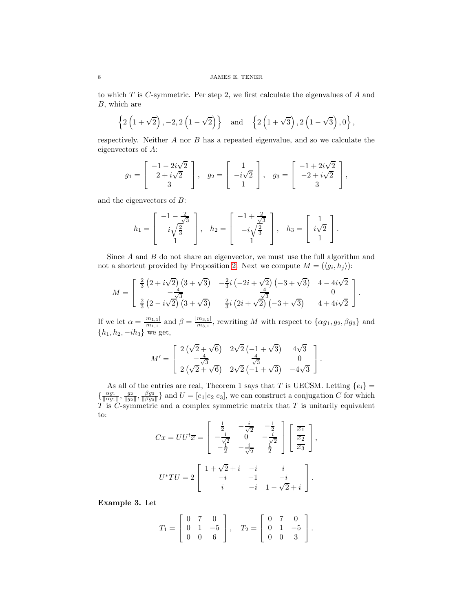to which  $T$  is  $C$ -symmetric. Per step 2, we first calculate the eigenvalues of  $A$  and B, which are

$$
\left\{2\left(1+\sqrt{2}\right),-2,2\left(1-\sqrt{2}\right)\right\}\quad\text{and}\quad\left\{2\left(1+\sqrt{3}\right),2\left(1-\sqrt{3}\right),0\right\},\
$$

respectively. Neither A nor B has a repeated eigenvalue, and so we calculate the eigenvectors of A:

$$
g_1 = \begin{bmatrix} -1 - 2i\sqrt{2} \\ 2 + i\sqrt{2} \\ 3 \end{bmatrix}, \quad g_2 = \begin{bmatrix} 1 \\ -i\sqrt{2} \\ 1 \end{bmatrix}, \quad g_3 = \begin{bmatrix} -1 + 2i\sqrt{2} \\ -2 + i\sqrt{2} \\ 3 \end{bmatrix},
$$

and the eigenvectors of B:

$$
h_1 = \begin{bmatrix} -1 - \frac{2}{\sqrt{3}} \\ i\sqrt{\frac{2}{3}} \\ 1 \end{bmatrix}, \quad h_2 = \begin{bmatrix} -1 + \frac{2}{\sqrt{3}} \\ -i\sqrt{\frac{2}{3}} \\ 1 \end{bmatrix}, \quad h_3 = \begin{bmatrix} 1 \\ i\sqrt{2} \\ 1 \end{bmatrix}.
$$

Since A and B do not share an eigenvector, we must use the full algorithm and not a shortcut provided by Proposition [2.](#page-4-0) Next we compute  $M = (\langle g_i, h_j \rangle)$ :

$$
M = \begin{bmatrix} \frac{2}{3} (2 + i\sqrt{2}) (3 + \sqrt{3}) & -\frac{2}{3}i (-2i + \sqrt{2}) (-3 + \sqrt{3}) & 4 - 4i\sqrt{2} \\ -\frac{4}{3} & -\frac{4}{\sqrt{3}} & 0 \\ \frac{2}{3} (2 - i\sqrt{2}) (3 + \sqrt{3}) & \frac{2}{3}i (2i + \sqrt{2}) (-3 + \sqrt{3}) & 4 + 4i\sqrt{2} \end{bmatrix}.
$$

If we let  $\alpha = \frac{|m_{1,1}|}{m_{1,1}}$  and  $\beta = \frac{|m_{3,1}|}{m_{3,1}}$ , rewriting M with respect to  $\{\alpha g_1, g_2, \beta g_3\}$  and  $\{h_1, h_2, -ih_3\}$  we get,

$$
M' = \begin{bmatrix} 2(\sqrt{2} + \sqrt{6}) & 2\sqrt{2}(-1 + \sqrt{3}) & 4\sqrt{3} \\ -\frac{4}{\sqrt{3}} & \frac{4}{\sqrt{3}} & 0 \\ 2(\sqrt{2} + \sqrt{6}) & 2\sqrt{2}(-1 + \sqrt{3}) & -4\sqrt{3} \end{bmatrix}.
$$

As all of the entries are real, Theorem 1 says that T is UECSM. Letting  ${e_i}$  =  $\{\frac{\alpha g_1}{\|\alpha g_1\|}, \frac{g_2}{\|\beta g_2\|}, \frac{\beta g_3}{\|\beta g_3\|}\}\$  and  $U = [e_1|e_2|e_3]$ , we can construct a conjugation C for which  $T$  is  $C$ -symmetric and a complex symmetric matrix that  $T$  is unitarily equivalent to:

$$
Cx = UU^{t}\overline{x} = \begin{bmatrix} \frac{1}{2} & -\frac{i}{\sqrt{2}} & -\frac{1}{2} \\ -\frac{i}{\sqrt{2}} & 0 & -\frac{i}{\sqrt{2}} \\ -\frac{1}{2} & -\frac{i}{\sqrt{2}} & \frac{1}{2} \end{bmatrix} \begin{bmatrix} \overline{x}_{1} \\ \overline{x}_{2} \\ \overline{x}_{3} \end{bmatrix},
$$
  

$$
U^{*}TU = 2 \begin{bmatrix} 1 + \sqrt{2} + i & -i & i \\ -i & -1 & -i \\ i & -i & 1 - \sqrt{2} + i \end{bmatrix}.
$$

<span id="page-7-0"></span>Example 3. Let

$$
T_1 = \left[ \begin{array}{ccc} 0 & 7 & 0 \\ 0 & 1 & -5 \\ 0 & 0 & 6 \end{array} \right], \quad T_2 = \left[ \begin{array}{ccc} 0 & 7 & 0 \\ 0 & 1 & -5 \\ 0 & 0 & 3 \end{array} \right].
$$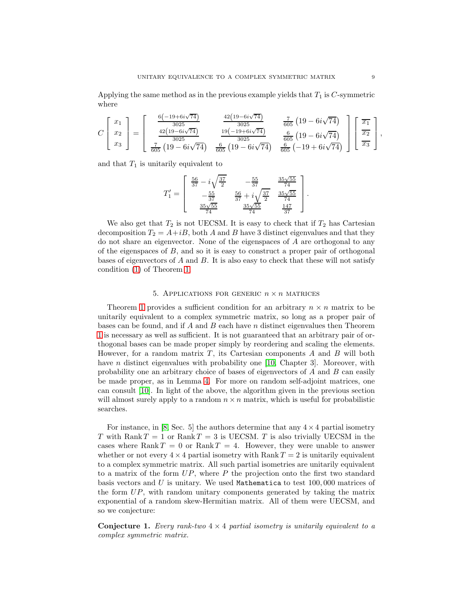Applying the same method as in the previous example yields that  $T_1$  is C-symmetric where

$$
C\left[\begin{array}{c} x_1 \\ x_2 \\ x_3 \end{array}\right] = \left[\begin{array}{ccc} \frac{6\left(-19+6i\sqrt{74}\right)}{3025} & \frac{42\left(19-6i\sqrt{74}\right)}{3025} & \frac{7}{605}\left(19-6i\sqrt{74}\right) \\ \frac{42\left(19-6i\sqrt{74}\right)}{3025} & \frac{19\left(-19+6i\sqrt{74}\right)}{3025} & \frac{6}{605}\left(19-6i\sqrt{74}\right) \\ \frac{7}{605}\left(19-6i\sqrt{74}\right) & \frac{6}{605}\left(19-6i\sqrt{74}\right) & \frac{6}{605}\left(-19+6i\sqrt{74}\right) \end{array}\right] \left[\begin{array}{c} \overline{x_1} \\ \overline{x_2} \\ \overline{x_3} \end{array}\right],
$$

and that  $T_1$  is unitarily equivalent to

$$
T_1' = \begin{bmatrix} \frac{56}{37} - i\sqrt{\frac{37}{2}} & -\frac{55}{37} & \frac{35\sqrt{55}}{74} \\ -\frac{55}{37} & \frac{56}{37} + i\sqrt{\frac{37}{2}} & \frac{35\sqrt{55}}{74} \\ \frac{35\sqrt{55}}{74} & \frac{35\sqrt{55}}{74} & \frac{147}{37} \end{bmatrix}.
$$

We also get that  $T_2$  is not UECSM. It is easy to check that if  $T_2$  has Cartesian decomposition  $T_2 = A + iB$ , both A and B have 3 distinct eigenvalues and that they do not share an eigenvector. None of the eigenspaces of A are orthogonal to any of the eigenspaces of  $B$ , and so it is easy to construct a proper pair of orthogonal bases of eigenvectors of  $A$  and  $B$ . It is also easy to check that these will not satisfy condition [\(1\)](#page-2-0) of Theorem [1.](#page-2-1)

### 5. APPLICATIONS FOR GENERIC  $n \times n$  matrices

<span id="page-8-0"></span>Theorem [1](#page-2-1) provides a sufficient condition for an arbitrary  $n \times n$  matrix to be unitarily equivalent to a complex symmetric matrix, so long as a proper pair of bases can be found, and if  $A$  and  $B$  each have  $n$  distinct eigenvalues then Theorem [1](#page-2-1) is necessary as well as sufficient. It is not guaranteed that an arbitrary pair of orthogonal bases can be made proper simply by reordering and scaling the elements. However, for a random matrix  $T$ , its Cartesian components  $A$  and  $B$  will both have *n* distinct eigenvalues with probability one [\[10,](#page-9-7) Chapter 3]. Moreover, with probability one an arbitrary choice of bases of eigenvectors of A and B can easily be made proper, as in Lemma [4.](#page-4-1) For more on random self-adjoint matrices, one can consult [\[10\]](#page-9-7). In light of the above, the algorithm given in the previous section will almost surely apply to a random  $n \times n$  matrix, which is useful for probabilistic searches.

For instance, in [\[8,](#page-9-5) Sec. 5] the authors determine that any  $4 \times 4$  partial isometry T with Rank  $T = 1$  or Rank  $T = 3$  is UECSM. T is also trivially UECSM in the cases where Rank  $T = 0$  or Rank  $T = 4$ . However, they were unable to answer whether or not every  $4 \times 4$  partial isometry with Rank  $T = 2$  is unitarily equivalent to a complex symmetric matrix. All such partial isometries are unitarily equivalent to a matrix of the form  $UP$ , where  $P$  the projection onto the first two standard basis vectors and U is unitary. We used Mathematica to test 100, 000 matrices of the form UP, with random unitary components generated by taking the matrix exponential of a random skew-Hermitian matrix. All of them were UECSM, and so we conjecture:

Conjecture 1. *Every rank-two* 4 × 4 *partial isometry is unitarily equivalent to a complex symmetric matrix.*